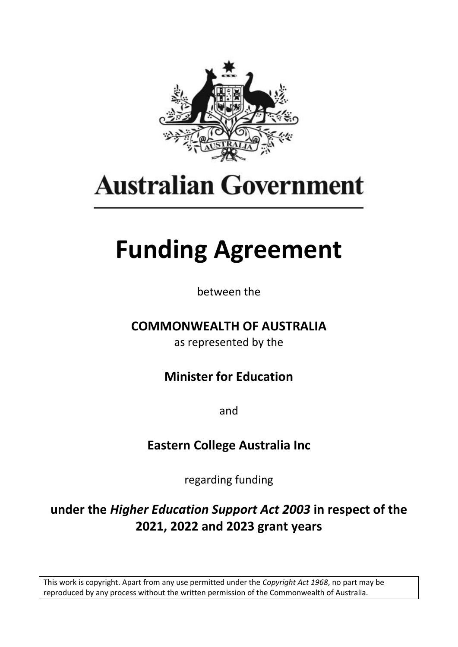

# **Australian Government**

# **Funding Agreement**

between the

# **COMMONWEALTH OF AUSTRALIA**

as represented by the

**Minister for Education** 

and

# **Eastern College Australia Inc**

regarding funding

**under the** *Higher Education Support Act 2003* **in respect of the 2021, 2022 and 2023 grant years**

This work is copyright. Apart from any use permitted under the *Copyright Act 1968*, no part may be reproduced by any process without the written permission of the Commonwealth of Australia.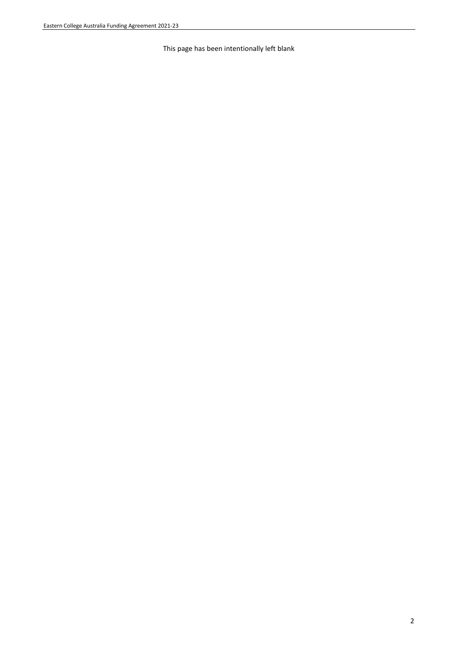This page has been intentionally left blank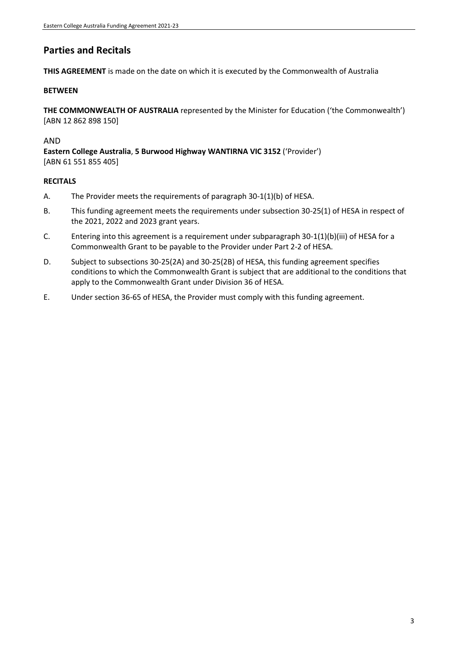# **Parties and Recitals**

**THIS AGREEMENT** is made on the date on which it is executed by the Commonwealth of Australia

# **BETWEEN**

**THE COMMONWEALTH OF AUSTRALIA** represented by the Minister for Education ('the Commonwealth') [ABN 12 862 898 150]

# AND

**Eastern College Australia**, **5 Burwood Highway WANTIRNA VIC 3152** ('Provider') [ABN 61 551 855 405]

# **RECITALS**

- A. The Provider meets the requirements of paragraph 30-1(1)(b) of HESA.
- B. This funding agreement meets the requirements under subsection 30-25(1) of HESA in respect of the 2021, 2022 and 2023 grant years.
- C. Entering into this agreement is a requirement under subparagraph 30-1(1)(b)(iii) of HESA for a Commonwealth Grant to be payable to the Provider under Part 2-2 of HESA.
- D. Subject to subsections 30-25(2A) and 30-25(2B) of HESA, this funding agreement specifies conditions to which the Commonwealth Grant is subject that are additional to the conditions that apply to the Commonwealth Grant under Division 36 of HESA.
- E. Under section 36-65 of HESA, the Provider must comply with this funding agreement.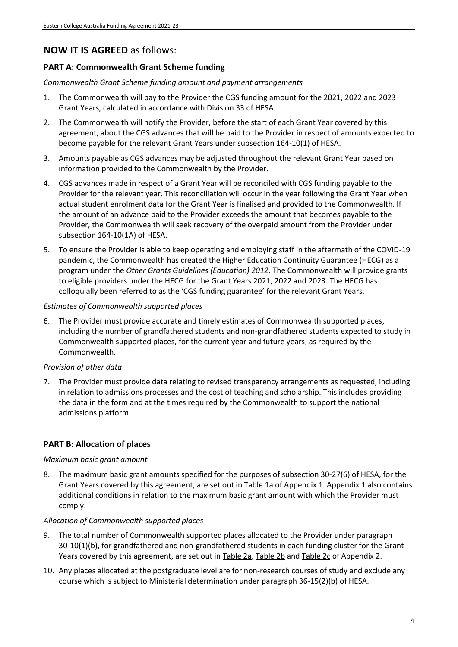# **NOW IT IS AGREED** as follows:

# **PART A: Commonwealth Grant Scheme funding**

*Commonwealth Grant Scheme funding amount and payment arrangements*

- 1. The Commonwealth will pay to the Provider the CGS funding amount for the 2021, 2022 and 2023 Grant Years, calculated in accordance with Division 33 of HESA.
- 2. The Commonwealth will notify the Provider, before the start of each Grant Year covered by this agreement, about the CGS advances that will be paid to the Provider in respect of amounts expected to become payable for the relevant Grant Years under subsection 164-10(1) of HESA.
- 3. Amounts payable as CGS advances may be adjusted throughout the relevant Grant Year based on information provided to the Commonwealth by the Provider.
- 4. CGS advances made in respect of a Grant Year will be reconciled with CGS funding payable to the Provider for the relevant year. This reconciliation will occur in the year following the Grant Year when actual student enrolment data for the Grant Year is finalised and provided to the Commonwealth. If the amount of an advance paid to the Provider exceeds the amount that becomes payable to the Provider, the Commonwealth will seek recovery of the overpaid amount from the Provider under subsection 164-10(1A) of HESA.
- 5. To ensure the Provider is able to keep operating and employing staff in the aftermath of the COVID-19 pandemic, the Commonwealth has created the Higher Education Continuity Guarantee (HECG) as a program under the *Other Grants Guidelines (Education) 2012*. The Commonwealth will provide grants to eligible providers under the HECG for the Grant Years 2021, 2022 and 2023. The HECG has colloquially been referred to as the 'CGS funding guarantee' for the relevant Grant Years.

# *Estimates of Commonwealth supported places*

6. The Provider must provide accurate and timely estimates of Commonwealth supported places, including the number of grandfathered students and non-grandfathered students expected to study in Commonwealth supported places, for the current year and future years, as required by the Commonwealth.

# *Provision of other data*

7. The Provider must provide data relating to revised transparency arrangements as requested, including in relation to admissions processes and the cost of teaching and scholarship. This includes providing the data in the form and at the times required by the Commonwealth to support the national admissions platform.

# **PART B: Allocation of places**

#### *Maximum basic grant amount*

8. The maximum basic grant amounts specified for the purposes of subsection 30-27(6) of HESA, for the Grant Years covered by this agreement, are set out in Table 1a of Appendix 1. Appendix 1 also contains additional conditions in relation to the maximum basic grant amount with which the Provider must comply.

#### *Allocation of Commonwealth supported places*

- 9. The total number of Commonwealth supported places allocated to the Provider under paragraph 30-10(1)(b), for grandfathered and non-grandfathered students in each funding cluster for the Grant Years covered by this agreement, are set out in Table 2a, Table 2b and Table 2c of Appendix 2.
- 10. Any places allocated at the postgraduate level are for non-research courses of study and exclude any course which is subject to Ministerial determination under paragraph 36-15(2)(b) of HESA.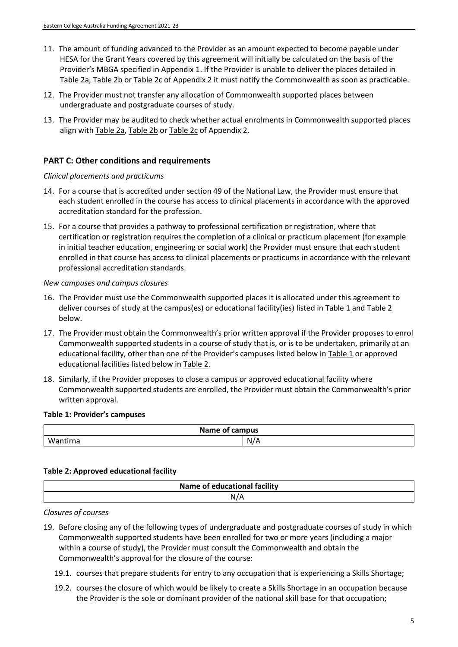- 11. The amount of funding advanced to the Provider as an amount expected to become payable under HESA for the Grant Years covered by this agreement will initially be calculated on the basis of the Provider's MBGA specified in Appendix 1. If the Provider is unable to deliver the places detailed in Table 2a, Table 2b or Table 2c of Appendix 2 it must notify the Commonwealth as soon as practicable.
- 12. The Provider must not transfer any allocation of Commonwealth supported places between undergraduate and postgraduate courses of study.
- 13. The Provider may be audited to check whether actual enrolments in Commonwealth supported places align with Table 2a, Table 2b or Table 2c of Appendix 2.

# **PART C: Other conditions and requirements**

# *Clinical placements and practicums*

- 14. For a course that is accredited under section 49 of the National Law, the Provider must ensure that each student enrolled in the course has access to clinical placements in accordance with the approved accreditation standard for the profession.
- 15. For a course that provides a pathway to professional certification or registration, where that certification or registration requires the completion of a clinical or practicum placement (for example in initial teacher education, engineering or social work) the Provider must ensure that each student enrolled in that course has access to clinical placements or practicums in accordance with the relevant professional accreditation standards.

# *New campuses and campus closures*

- 16. The Provider must use the Commonwealth supported places it is allocated under this agreement to deliver courses of study at the campus(es) or educational facility(ies) listed in Table 1 and Table 2 below.
- 17. The Provider must obtain the Commonwealth's prior written approval if the Provider proposes to enrol Commonwealth supported students in a course of study that is, or is to be undertaken, primarily at an educational facility, other than one of the Provider's campuses listed below in Table 1 or approved educational facilities listed below in Table 2.
- 18. Similarly, if the Provider proposes to close a campus or approved educational facility where Commonwealth supported students are enrolled, the Provider must obtain the Commonwealth's prior written approval.

# **Table 1: Provider's campuses**

| <b>Name</b><br>of campus      |     |  |
|-------------------------------|-----|--|
| <b>Wanti</b><br>------<br>*Па | N/A |  |

# **Table 2: Approved educational facility**

| Name of educational facility |  |  |
|------------------------------|--|--|
| N                            |  |  |

*Closures of courses*

- 19. Before closing any of the following types of undergraduate and postgraduate courses of study in which Commonwealth supported students have been enrolled for two or more years (including a major within a course of study), the Provider must consult the Commonwealth and obtain the Commonwealth's approval for the closure of the course:
	- 19.1. courses that prepare students for entry to any occupation that is experiencing a Skills Shortage;
	- 19.2. courses the closure of which would be likely to create a Skills Shortage in an occupation because the Provider is the sole or dominant provider of the national skill base for that occupation;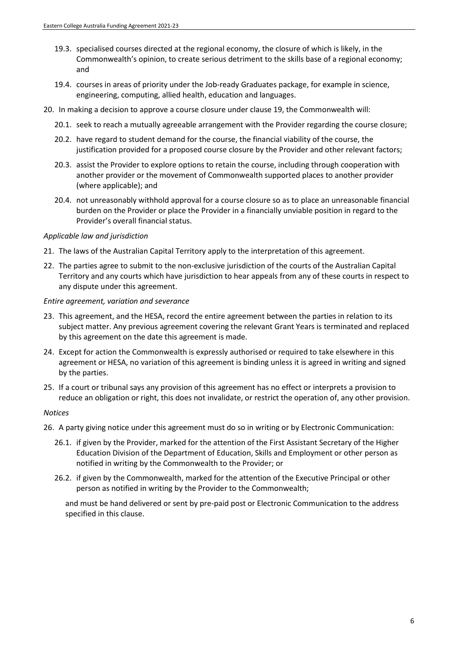- 19.3. specialised courses directed at the regional economy, the closure of which is likely, in the Commonwealth's opinion, to create serious detriment to the skills base of a regional economy; and
- 19.4. courses in areas of priority under the Job-ready Graduates package, for example in science, engineering, computing, allied health, education and languages.
- 20. In making a decision to approve a course closure under clause 19, the Commonwealth will:
	- 20.1. seek to reach a mutually agreeable arrangement with the Provider regarding the course closure;
	- 20.2. have regard to student demand for the course, the financial viability of the course, the justification provided for a proposed course closure by the Provider and other relevant factors;
	- 20.3. assist the Provider to explore options to retain the course, including through cooperation with another provider or the movement of Commonwealth supported places to another provider (where applicable); and
	- 20.4. not unreasonably withhold approval for a course closure so as to place an unreasonable financial burden on the Provider or place the Provider in a financially unviable position in regard to the Provider's overall financial status.

#### *Applicable law and jurisdiction*

- 21. The laws of the Australian Capital Territory apply to the interpretation of this agreement.
- 22. The parties agree to submit to the non-exclusive jurisdiction of the courts of the Australian Capital Territory and any courts which have jurisdiction to hear appeals from any of these courts in respect to any dispute under this agreement.

#### *Entire agreement, variation and severance*

- 23. This agreement, and the HESA, record the entire agreement between the parties in relation to its subject matter. Any previous agreement covering the relevant Grant Years is terminated and replaced by this agreement on the date this agreement is made.
- 24. Except for action the Commonwealth is expressly authorised or required to take elsewhere in this agreement or HESA, no variation of this agreement is binding unless it is agreed in writing and signed by the parties.
- 25. If a court or tribunal says any provision of this agreement has no effect or interprets a provision to reduce an obligation or right, this does not invalidate, or restrict the operation of, any other provision.

#### *Notices*

- 26. A party giving notice under this agreement must do so in writing or by Electronic Communication:
	- 26.1. if given by the Provider, marked for the attention of the First Assistant Secretary of the Higher Education Division of the Department of Education, Skills and Employment or other person as notified in writing by the Commonwealth to the Provider; or
	- 26.2. if given by the Commonwealth, marked for the attention of the Executive Principal or other person as notified in writing by the Provider to the Commonwealth;

and must be hand delivered or sent by pre-paid post or Electronic Communication to the address specified in this clause.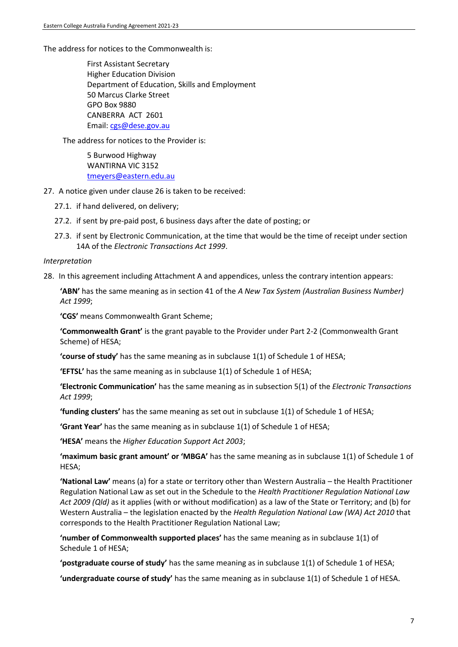The address for notices to the Commonwealth is:

First Assistant Secretary Higher Education Division Department of Education, Skills and Employment 50 Marcus Clarke Street GPO Box 9880 CANBERRA ACT 2601 Email: [cgs@dese.gov.au](mailto:cgs@dese.gov.au)

The address for notices to the Provider is:

5 Burwood Highway WANTIRNA VIC 3152 [tmeyers@eastern.edu.au](mailto:tmeyers@eastern.edu.au)

- 27. A notice given under clause 26 is taken to be received:
	- 27.1. if hand delivered, on delivery;
	- 27.2. if sent by pre-paid post, 6 business days after the date of posting; or
	- 27.3. if sent by Electronic Communication, at the time that would be the time of receipt under section 14A of the *Electronic Transactions Act 1999*.

*Interpretation*

28. In this agreement including Attachment A and appendices, unless the contrary intention appears:

**'ABN'** has the same meaning as in section 41 of the *A New Tax System (Australian Business Number) Act 1999*;

**'CGS'** means Commonwealth Grant Scheme;

**'Commonwealth Grant'** is the grant payable to the Provider under Part 2-2 (Commonwealth Grant Scheme) of HESA;

**'course of study'** has the same meaning as in subclause 1(1) of Schedule 1 of HESA;

**'EFTSL'** has the same meaning as in subclause 1(1) of Schedule 1 of HESA;

**'Electronic Communication'** has the same meaning as in subsection 5(1) of the *Electronic Transactions Act 1999*;

**'funding clusters'** has the same meaning as set out in subclause 1(1) of Schedule 1 of HESA;

**'Grant Year'** has the same meaning as in subclause 1(1) of Schedule 1 of HESA;

**'HESA'** means the *Higher Education Support Act 2003*;

**'maximum basic grant amount' or 'MBGA'** has the same meaning as in subclause 1(1) of Schedule 1 of HESA;

**'National Law'** means (a) for a state or territory other than Western Australia – the Health Practitioner Regulation National Law as set out in the Schedule to the *Health Practitioner Regulation National Law Act 2009 (Qld)* as it applies (with or without modification) as a law of the State or Territory; and (b) for Western Australia – the legislation enacted by the *Health Regulation National Law (WA) Act 2010* that corresponds to the Health Practitioner Regulation National Law;

**'number of Commonwealth supported places'** has the same meaning as in subclause 1(1) of Schedule 1 of HESA;

**'postgraduate course of study'** has the same meaning as in subclause 1(1) of Schedule 1 of HESA;

**'undergraduate course of study'** has the same meaning as in subclause 1(1) of Schedule 1 of HESA.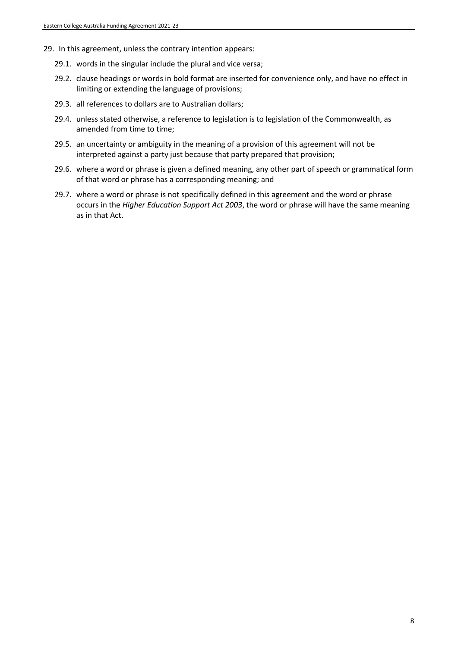- 29. In this agreement, unless the contrary intention appears:
	- 29.1. words in the singular include the plural and vice versa;
	- 29.2. clause headings or words in bold format are inserted for convenience only, and have no effect in limiting or extending the language of provisions;
	- 29.3. all references to dollars are to Australian dollars;
	- 29.4. unless stated otherwise, a reference to legislation is to legislation of the Commonwealth, as amended from time to time;
	- 29.5. an uncertainty or ambiguity in the meaning of a provision of this agreement will not be interpreted against a party just because that party prepared that provision;
	- 29.6. where a word or phrase is given a defined meaning, any other part of speech or grammatical form of that word or phrase has a corresponding meaning; and
	- 29.7. where a word or phrase is not specifically defined in this agreement and the word or phrase occurs in the *Higher Education Support Act 2003*, the word or phrase will have the same meaning as in that Act.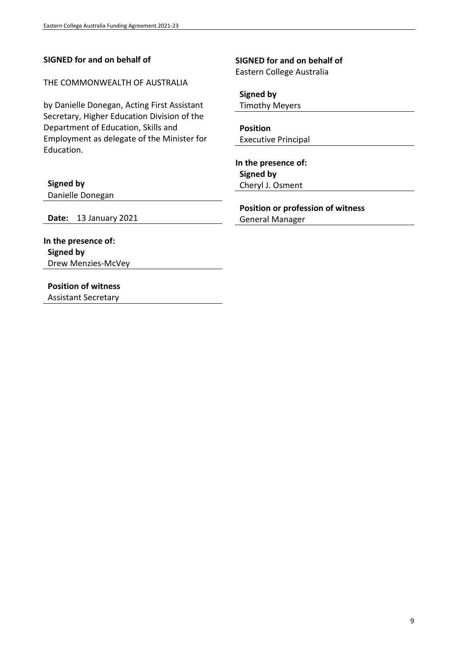# **SIGNED for and on behalf of**

THE COMMONWEALTH OF AUSTRALIA

by Danielle Donegan, Acting First Assistant Secretary, Higher Education Division of the Department of Education, Skills and Employment as delegate of the Minister for Education.

#### **Signed by**

Danielle Donegan

**Date:** 13 January 2021

**In the presence of: Signed by**  Drew Menzies-McVey

**Position of witness** 

Assistant Secretary

**SIGNED for and on behalf of** Eastern College Australia

**Signed by**  Timothy Meyers

**Position**  Executive Principal

**In the presence of: Signed by**  Cheryl J. Osment

**Position or profession of witness**  General Manager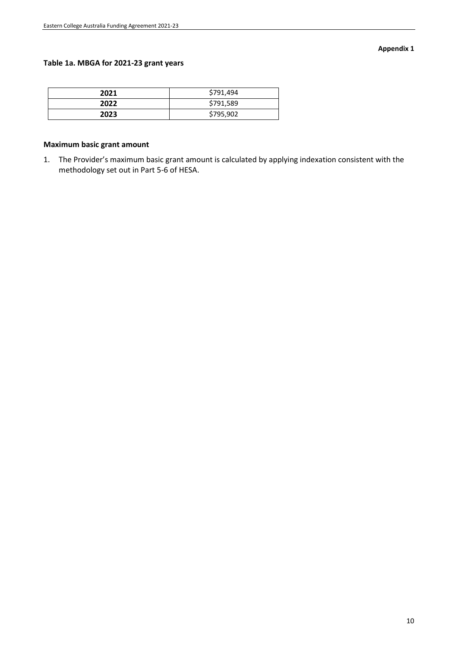#### **Appendix 1**

#### **Table 1a. MBGA for 2021-23 grant years**

| 2021 | \$791,494 |  |  |  |
|------|-----------|--|--|--|
| 2022 | \$791,589 |  |  |  |
| 2023 | \$795,902 |  |  |  |

### **Maximum basic grant amount**

1. The Provider's maximum basic grant amount is calculated by applying indexation consistent with the methodology set out in Part 5-6 of HESA.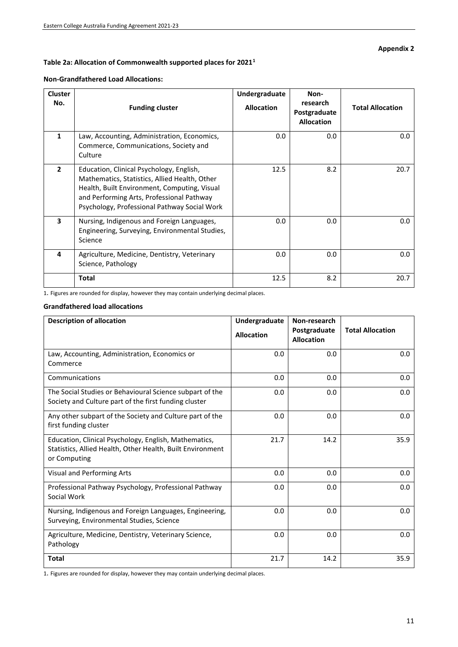# **Appendix 2**

#### **Table 2a: Allocation of Commonwealth supported places for 2021<sup>1</sup>**

#### **Non-Grandfathered Load Allocations:**

| <b>Cluster</b><br>No.   | <b>Funding cluster</b>                                                                                                                                                                                                                 | Undergraduate<br><b>Allocation</b> | Non-<br>research<br>Postgraduate<br><b>Allocation</b> | <b>Total Allocation</b> |
|-------------------------|----------------------------------------------------------------------------------------------------------------------------------------------------------------------------------------------------------------------------------------|------------------------------------|-------------------------------------------------------|-------------------------|
| 1                       | Law, Accounting, Administration, Economics,<br>Commerce, Communications, Society and<br>Culture                                                                                                                                        | 0.0                                | 0.0                                                   | 0.0                     |
| $\overline{2}$          | Education, Clinical Psychology, English,<br>Mathematics, Statistics, Allied Health, Other<br>Health, Built Environment, Computing, Visual<br>and Performing Arts, Professional Pathway<br>Psychology, Professional Pathway Social Work | 12.5                               | 8.2                                                   | 20.7                    |
| $\overline{\mathbf{3}}$ | Nursing, Indigenous and Foreign Languages,<br>Engineering, Surveying, Environmental Studies,<br>Science                                                                                                                                | 0.0                                | 0.0                                                   | 0.0                     |
| 4                       | Agriculture, Medicine, Dentistry, Veterinary<br>Science, Pathology                                                                                                                                                                     | 0.0                                | 0.0                                                   | 0.0                     |
|                         | <b>Total</b>                                                                                                                                                                                                                           | 12.5                               | 8.2                                                   | 20.7                    |

1. Figures are rounded for display, however they may contain underlying decimal places.

#### **Grandfathered load allocations**

| <b>Description of allocation</b>                                                                                                    | Undergraduate     | Non-research                      |                         |
|-------------------------------------------------------------------------------------------------------------------------------------|-------------------|-----------------------------------|-------------------------|
|                                                                                                                                     | <b>Allocation</b> | Postgraduate<br><b>Allocation</b> | <b>Total Allocation</b> |
| Law, Accounting, Administration, Economics or<br>Commerce                                                                           | 0.0               | 0.0                               | 0.0                     |
| Communications                                                                                                                      | 0.0               | 0.0                               | 0.0                     |
| The Social Studies or Behavioural Science subpart of the<br>Society and Culture part of the first funding cluster                   | 0.0               | 0.0                               | 0.0                     |
| Any other subpart of the Society and Culture part of the<br>first funding cluster                                                   | 0.0               | 0.0                               | 0.0                     |
| Education, Clinical Psychology, English, Mathematics,<br>Statistics, Allied Health, Other Health, Built Environment<br>or Computing | 21.7              | 14.2                              | 35.9                    |
| Visual and Performing Arts                                                                                                          | 0.0               | 0.0                               | 0.0                     |
| Professional Pathway Psychology, Professional Pathway<br>Social Work                                                                | 0.0               | 0.0                               | 0.0                     |
| Nursing, Indigenous and Foreign Languages, Engineering,<br>Surveying, Environmental Studies, Science                                | 0.0               | 0.0                               | 0.0                     |
| Agriculture, Medicine, Dentistry, Veterinary Science,<br>Pathology                                                                  | 0.0               | 0.0                               | 0.0                     |
| <b>Total</b>                                                                                                                        | 21.7              | 14.2                              | 35.9                    |

1. Figures are rounded for display, however they may contain underlying decimal places.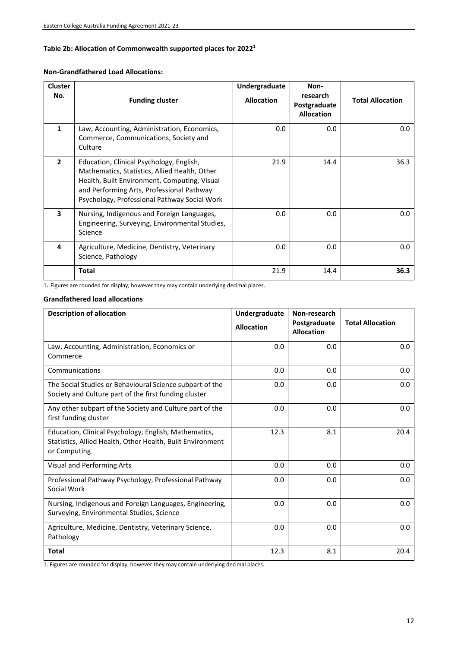#### **Table 2b: Allocation of Commonwealth supported places for 2022 1**

| <b>Cluster</b><br>No.   | <b>Funding cluster</b>                                                                                                                                                                                                                 | Undergraduate<br><b>Allocation</b> | Non-<br>research<br>Postgraduate<br><b>Allocation</b> | <b>Total Allocation</b> |
|-------------------------|----------------------------------------------------------------------------------------------------------------------------------------------------------------------------------------------------------------------------------------|------------------------------------|-------------------------------------------------------|-------------------------|
| 1                       | Law, Accounting, Administration, Economics,<br>Commerce, Communications, Society and<br>Culture                                                                                                                                        | 0.0                                | 0.0                                                   | 0.0                     |
| $\overline{2}$          | Education, Clinical Psychology, English,<br>Mathematics, Statistics, Allied Health, Other<br>Health, Built Environment, Computing, Visual<br>and Performing Arts, Professional Pathway<br>Psychology, Professional Pathway Social Work | 21.9                               | 14.4                                                  | 36.3                    |
| $\overline{\mathbf{3}}$ | Nursing, Indigenous and Foreign Languages,<br>Engineering, Surveying, Environmental Studies,<br>Science                                                                                                                                | 0.0                                | 0.0                                                   | 0.0                     |
| 4                       | Agriculture, Medicine, Dentistry, Veterinary<br>Science, Pathology                                                                                                                                                                     | 0.0                                | 0.0                                                   | 0.0                     |
|                         | <b>Total</b>                                                                                                                                                                                                                           | 21.9                               | 14.4                                                  | 36.3                    |

#### **Non-Grandfathered Load Allocations:**

1. Figures are rounded for display, however they may contain underlying decimal places.

# **Grandfathered load allocations**

| <b>Description of allocation</b>                                                                                                    | Undergraduate<br><b>Allocation</b> | Non-research<br>Postgraduate | <b>Total Allocation</b> |
|-------------------------------------------------------------------------------------------------------------------------------------|------------------------------------|------------------------------|-------------------------|
|                                                                                                                                     |                                    | <b>Allocation</b>            |                         |
| Law, Accounting, Administration, Economics or<br>Commerce                                                                           | 0.0                                | 0.0                          | 0.0                     |
| Communications                                                                                                                      | 0.0                                | 0.0                          | 0.0                     |
| The Social Studies or Behavioural Science subpart of the<br>Society and Culture part of the first funding cluster                   | 0.0                                | 0.0                          | 0.0                     |
| Any other subpart of the Society and Culture part of the<br>first funding cluster                                                   | 0.0                                | 0.0                          | 0.0                     |
| Education, Clinical Psychology, English, Mathematics,<br>Statistics, Allied Health, Other Health, Built Environment<br>or Computing | 12.3                               | 8.1                          | 20.4                    |
| Visual and Performing Arts                                                                                                          | 0.0                                | 0.0                          | 0.0                     |
| Professional Pathway Psychology, Professional Pathway<br>Social Work                                                                | 0.0                                | 0.0                          | 0.0                     |
| Nursing, Indigenous and Foreign Languages, Engineering,<br>Surveying, Environmental Studies, Science                                | 0.0                                | 0.0                          | 0.0                     |
| Agriculture, Medicine, Dentistry, Veterinary Science,<br>Pathology                                                                  | 0.0                                | 0.0                          | 0.0                     |
| <b>Total</b>                                                                                                                        | 12.3                               | 8.1                          | 20.4                    |

1. Figures are rounded for display, however they may contain underlying decimal places.